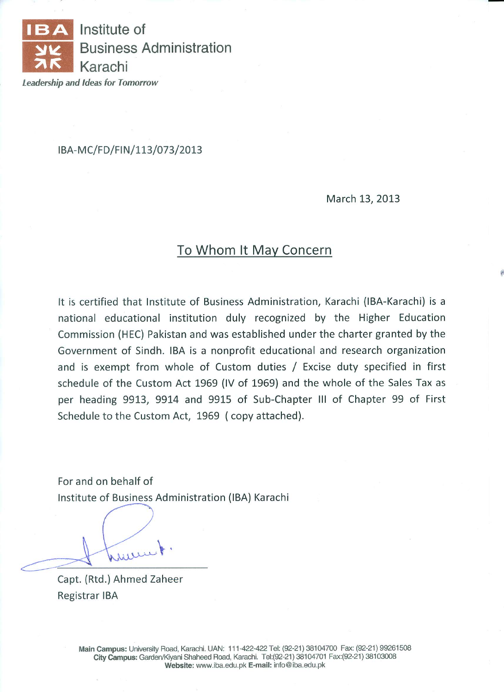

#### IBA-MC/FD/FIN/113/073/2013

March 13, 2013

#### To Whom It May Concern

It is certified that Institute of Business Administration, Karachi (IBA-Karachi) is a national educational institution duly recognized by the Higher Education Commission (HEC) Pakistan and was established under the charter granted by the Government of Sindh. IBA is a nonprofit educational and research organization and is exempt from whole of Custom duties / Excise duty specified in first schedule of the Custom Act 1969 (IV of 1969) and the whole of the Sales Tax as per heading 9913, 9914 and 9915 of Sub-Chapter III of Chapter 99 of First Schedule to the Custom Act, 1969 (copy attached).

For and on behalf of Institute of Business Administration (IBA) Karachi

AMILLE

Capt. (Rtd.) Ahmed Zaheer **Registrar IBA** 

> Main Campus: University Road, Karachi. UAN: 111-422-422 Tel: (92-21) 38104700 Fax: (92-21) 99261508 City Campus: Garden/Kiyani Shaheed Road, Karachi. Tel:(92-21) 38104701 Fax:(92-21) 38103008 Website: www.iba.edu.pk E-mail: info@iba.edu.pk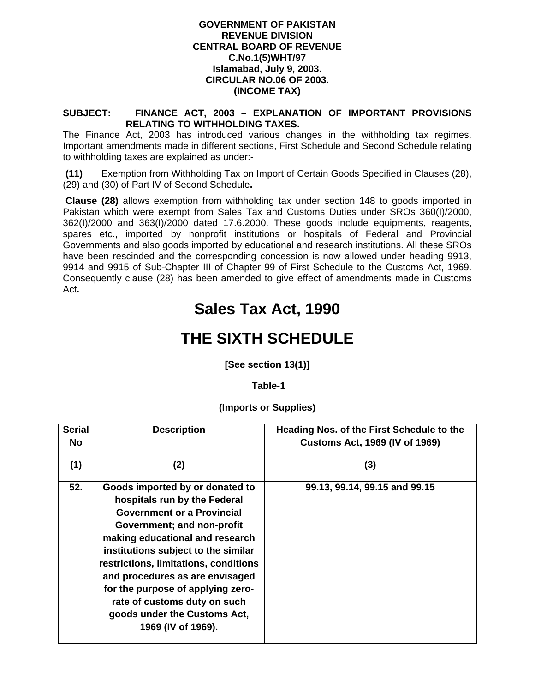#### **GOVERNMENT OF PAKISTAN REVENUE DIVISION CENTRAL BOARD OF REVENUE C.No.1(5)WHT/97 Islamabad, July 9, 2003. CIRCULAR NO.06 OF 2003. (INCOME TAX)**

#### **SUBJECT: FINANCE ACT, 2003 – EXPLANATION OF IMPORTANT PROVISIONS RELATING TO WITHHOLDING TAXES.**

The Finance Act, 2003 has introduced various changes in the withholding tax regimes. Important amendments made in different sections, First Schedule and Second Schedule relating to withholding taxes are explained as under:-

 **(11)** Exemption from Withholding Tax on Import of Certain Goods Specified in Clauses (28), (29) and (30) of Part IV of Second Schedule**.** 

 **Clause (28)** allows exemption from withholding tax under section 148 to goods imported in Pakistan which were exempt from Sales Tax and Customs Duties under SROs 360(I)/2000, 362(I)/2000 and 363(I)/2000 dated 17.6.2000. These goods include equipments, reagents, spares etc., imported by nonprofit institutions or hospitals of Federal and Provincial Governments and also goods imported by educational and research institutions. All these SROs have been rescinded and the corresponding concession is now allowed under heading 9913, 9914 and 9915 of Sub-Chapter III of Chapter 99 of First Schedule to the Customs Act, 1969. Consequently clause (28) has been amended to give effect of amendments made in Customs Act**.** 

### **Sales Tax Act, 1990**

### **THE SIXTH SCHEDULE**

**[See section 13(1)]**

 **Table-1**

**(Imports or Supplies)**

| <b>Serial</b><br>No | <b>Description</b>                                                                                                                                                                                                                                                                                                                                                                                                  | Heading Nos. of the First Schedule to the<br><b>Customs Act, 1969 (IV of 1969)</b> |
|---------------------|---------------------------------------------------------------------------------------------------------------------------------------------------------------------------------------------------------------------------------------------------------------------------------------------------------------------------------------------------------------------------------------------------------------------|------------------------------------------------------------------------------------|
| (1)                 | (2)                                                                                                                                                                                                                                                                                                                                                                                                                 | (3)                                                                                |
| 52.                 | Goods imported by or donated to<br>hospitals run by the Federal<br><b>Government or a Provincial</b><br>Government; and non-profit<br>making educational and research<br>institutions subject to the similar<br>restrictions, limitations, conditions<br>and procedures as are envisaged<br>for the purpose of applying zero-<br>rate of customs duty on such<br>goods under the Customs Act,<br>1969 (IV of 1969). | 99.13, 99.14, 99.15 and 99.15                                                      |